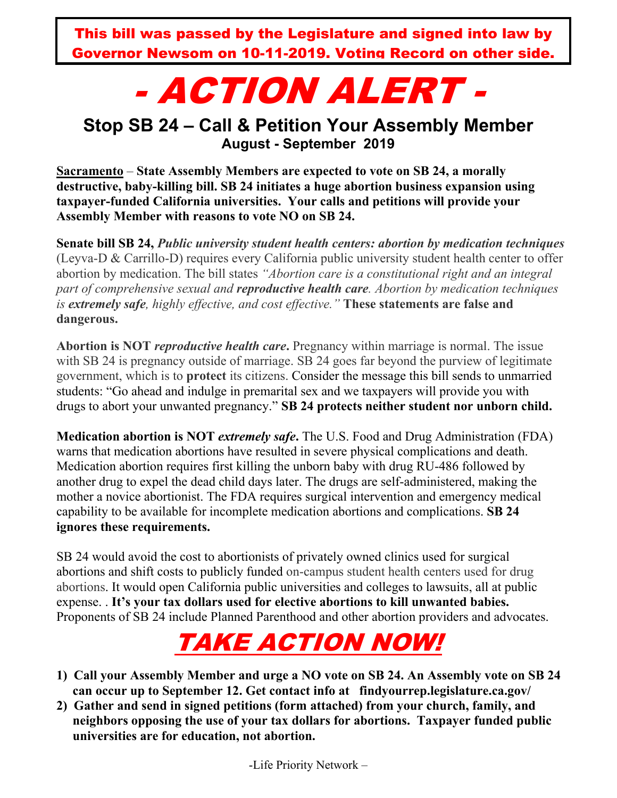This bill was passed by the Legislature and signed into law by Governor Newsom on 10-11-2019. Voting Record on other side.

# - ACTION ALERT -

# **Stop SB 24 – Call & Petition Your Assembly Member August - September 2019**

**Sacramento** – **State Assembly Members are expected to vote on SB 24, a morally destructive, baby-killing bill. SB 24 initiates a huge abortion business expansion using taxpayer-funded California universities. Your calls and petitions will provide your Assembly Member with reasons to vote NO on SB 24.** 

**Senate bill SB 24,** *Public university student health centers: abortion by medication techniques* (Leyva-D & Carrillo-D) requires every California public university student health center to offer abortion by medication. The bill states *"Abortion care is a constitutional right and an integral part of comprehensive sexual and reproductive health care. Abortion by medication techniques is extremely safe, highly effective, and cost effective."* **These statements are false and dangerous.**

**Abortion is NOT** *reproductive health care***.** Pregnancy within marriage is normal. The issue with SB 24 is pregnancy outside of marriage. SB 24 goes far beyond the purview of legitimate government, which is to **protect** its citizens. Consider the message this bill sends to unmarried students: "Go ahead and indulge in premarital sex and we taxpayers will provide you with drugs to abort your unwanted pregnancy." **SB 24 protects neither student nor unborn child.**

**Medication abortion is NOT** *extremely safe***.** The U.S. Food and Drug Administration (FDA) warns that medication abortions have resulted in severe physical complications and death. Medication abortion requires first killing the unborn baby with drug RU-486 followed by another drug to expel the dead child days later. The drugs are self-administered, making the mother a novice abortionist. The FDA requires surgical intervention and emergency medical capability to be available for incomplete medication abortions and complications. **SB 24 ignores these requirements.**

SB 24 would avoid the cost to abortionists of privately owned clinics used for surgical abortions and shift costs to publicly funded on-campus student health centers used for drug abortions. It would open California public universities and colleges to lawsuits, all at public expense. . **It's your tax dollars used for elective abortions to kill unwanted babies.** Proponents of SB 24 include Planned Parenthood and other abortion providers and advocates.



- **1) Call your Assembly Member and urge a NO vote on SB 24. An Assembly vote on SB 24 can occur up to September 12. Get contact info at findyourrep.legislature.ca.gov/**
- **2) Gather and send in signed petitions (form attached) from your church, family, and neighbors opposing the use of your tax dollars for abortions. Taxpayer funded public universities are for education, not abortion.**